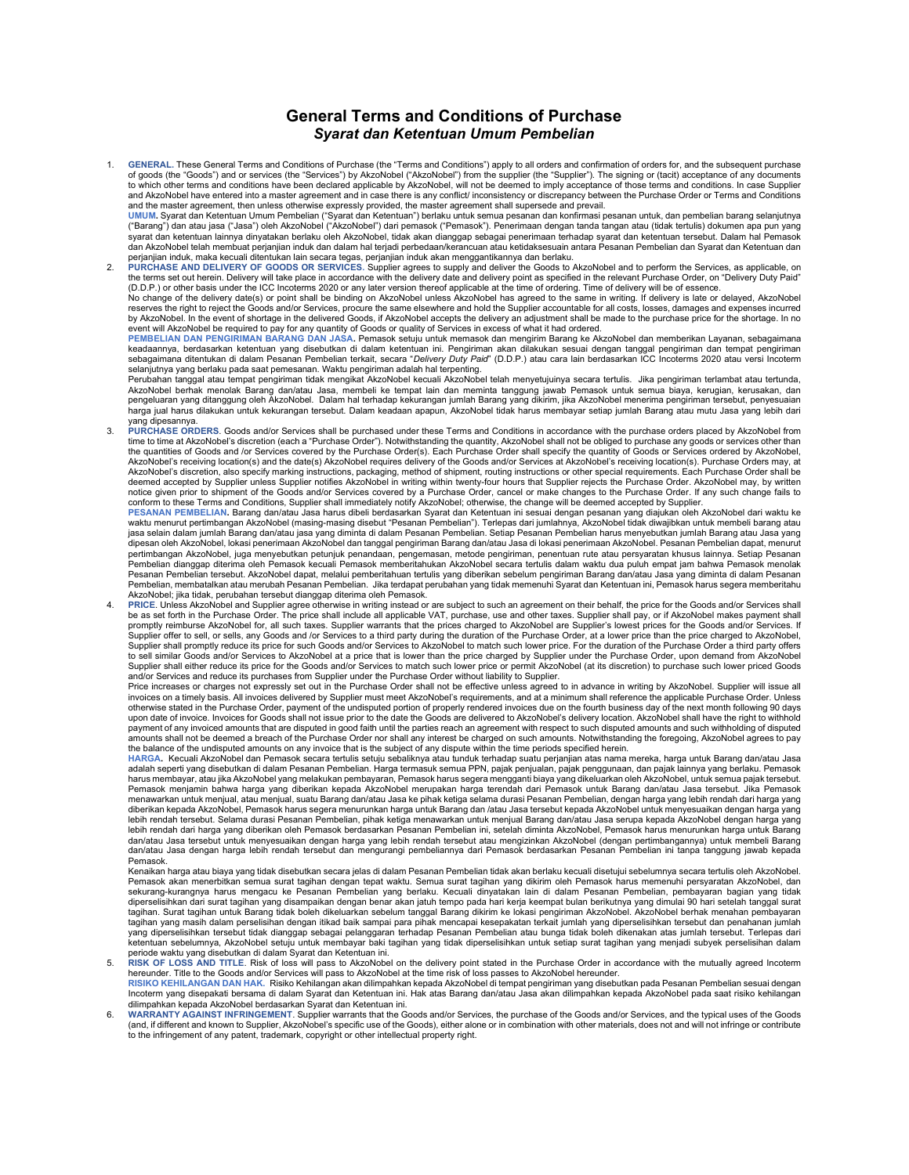## General Terms and Conditions of Purchase Syarat dan Ketentuan Umum Pembelian

1. GENERAL. These General Terms and Conditions of Purchase (the "Terms and Conditions") apply to all orders and confirmation of orders for, and the subsequent purchase of goods (the "Goods") and or services (the "Services") by AkzoNobel ("AkzoNobel") from the supplier (the "Supplier"). The signing or (tacit) acceptance of any documents<br>to which other terms and conditions have been declar and AkzoNobel have entered into a master agreement and in case there is any conflict/ inconsistency or discrepancy between the Purchase Order or Terms and Conditions and the master agreement, then unless otherwise expressly provided, the master agreement shall supersede and prevail.<br><mark>UMUM.</mark> Syarat dan Ketentuan Umum Pembelian ("Syarat dan Ketentuan") berlaku untuk semua pesanan dan kon

("Barang") dan atau jasa ("Jasa") oleh AkzoNobel ("AkzoNobel") dari pemasok ("Pemasok"). Penerimaan dengan tanda tangan atau (tidak tertulis) dokumen apa pun yang syarat dan ketentuan lainnya dinyatakan berlaku oleh AkzoNobel, tidak akan dianggap sebagai penerimaan terhadap syarat dan ketentuan tersebut. Dalam hal Pemasok<br>dan AkzoNobel telah membuat perjanjian induk dan dalam hal te

perjanjian induk, maka kecuali ditentukan lain secara tegas, perjanjian induk akan menggantikannya dan berlaku.<br>2. PURCHASE AND DELIVERY OF GOODS OR SERVICES. Supplier agrees to supply and deliver the Goods to AkzoNobel an the terms set out herein. Delivery will take place in accordance with the delivery date and delivery point as specified in the relevant Purchase Order, on "Delivery Duty Paid"<br>(D.D.P.) or other basis under the ICC Incoterm

No change of the delivery date(s) or point shall be binding on AkzoNobel unless AkzoNobel has agreed to the same in writing. If delivery is late or delayed, AkzoNobel reserves the right to reject the Goods and/or Services, procure the same elsewhere and hold the Supplier accountable for all costs, losses, damages and expenses incurred<br>by AkzoNobel. In the event of shortage in the delive event will AkzoNobel be required to pay for any quantity of Goods or quality of Services in excess of what it had ordered.

PEMBELIAN DAN PENGIRIMAN BARANG DAN JASA. Pemasok setuju untuk memasok dan mengirim Barang ke AkzoNobel dan memberikan Layanan, sebagaimana keadaannya, berdasarkan ketentuan yang disebutkan di dalam ketentuan ini. Pengiriman akan dilakukan sesuai dengan tanggal pengiriman dan tempat pengiriman<br>sebagaimana ditentukan di dalam Pesanan Pembelian terkait, secara " selanjutnya yang berlaku pada saat pemesanan. Waktu pengiriman adalah hal terpenting.<br>Perubahan tanggal atau tempat pengiriman tidak mengikat AkzoNobel kecuali AkzoNobel telah menyetujuinya secara tertulis. Jika pengirima

AkzoNobel berhak menolak Barang dan/atau Jasa, membeli ke tempat lain dan meminta tanggung jawab Pemasok untuk semua biaya, kerugian, kerusakan, dan pengeluaran yang ditanggung oleh AkzoNobel. Dalam hal terhadap kekurangan jumlah Barang yang dikirim, jika AkzoNobel menerima pengiriman tersebut, penyesuaian<br>harga jual harus dilakukan untuk kekurangan tersebut. Dalam ke yang dipesannya.

3. PURCHASE ORDERS. Goods and/or Services shall be purchased under these Terms and Conditions in accordance with the purchase orders placed by AkzoNobel from time to time at AkzoNobel's discretion (each a "Purchase Order"). Notwithstanding the quantity, AkzoNobel shall not be obliged to purchase any goods or services other than the quantities of Goods and /or Services covered by the Purchase Order(s). Each Purchase Order shall specify the quantity of Goods or Services ordered by AkzoNobel, AkzoNobel's receiving location(s) and the date(s) AkzoNobel requires delivery of the Goods and/or Services at AkzoNobel's receiving location(s). Purchase Orders may, at AkzoNobel's discretion, also specify marking instructions, packaging, method of shipment, routing instructions or other special requirements. Each Purchase Order shall be<br>deemed accepted by Supplier unless Supplier notifie notice given prior to shipment of the Goods and/or Services covered by a Purchase Order, cancel or make changes to the Purchase Order. If any such change fails to

conform to these Terms and Conditions, Supplier shall immediately notify AkzoNobel; otherwise, the change will be deemed accepted by Supplier.<br><mark>PESANAN PEMBELIAN.</mark> Barang dan/atau Jasa harus dibeli berdasarkan Syarat dan K waktu menurut pertimbangan AkzoNobel (masing-masing disebut "Pesanan Pembelian"). Terlepas dari jumlahnya, AkzoNobel tidak diwajibkan untuk membeli barang atau<br>jasa selain dalam jumlah Barang dan/atau jasa yang diminta di dipesan oleh AkzoNobel, lokasi penerimaan AkzoNobel dan tanggal pengiriman Barang dan/atau Jasa di lokasi penerimaan AkzoNobel. Pesanan Pembelian dapat, menurut pertimbangan AkzoNobel, juga menyebutkan petunjuk penandaan, pengemasan, metode pengiriman, penentuan rute atau persyaratan khusus lainnya. Setiap Pesanan<br>Pembelian dianggap diterima oleh Pemasok kecuali Pemasok memberitah Pesanan Pembelian tersebut. AkzoNobel dapat, melalui pemberitahuan tertulis yang diberikan sebelum pengiriman Barang dan/atau Jasa yang diminta di dalam Pesanan<br>Pembelian, membatalkan atau merubah Pesanan Pembelian. Jika AkzoNobel; jika tidak, perubahan tersebut dianggap diterima oleh Pemasok.

4. PRICE. Unless AkzoNobel and Supplier agree otherwise in writing instead or are subject to such an agreement on their behalf, the price for the Goods and/or Services shall<br>be as set forth in the Purchase Order. The price promptly reimburse AkzoNobel for, all such taxes. Supplier warrants that the prices charged to AkzoNobel are Supplier's lowest prices for the Goods and/or Services. If Supplier offer to sell, or sells, any Goods and /or Services to a third party during the duration of the Purchase Order, at a lower price than the price charged to AkzoNobel, Supplier shall promptly reduce its price for such Goods and/or Services to AkzoNobel to match such lower price. For the duration of the Purchase Order a third party offers to sell similar Goods and/or Services to AkzoNobel at a price that is lower than the price charged by Supplier under the Purchase Order, upon demand from AkzoNobel Supplier shall either reduce its price for the Goods and/or Services to match such lower price or permit AkzoNobel (at its discretion) to purchase such lower priced Goods

and/or Services and reduce its purchases from Supplier under the Purchase Order without liability to Supplier.<br>Price increases or charges not expressly set out in the Purchase Order shall not be effective unless agreed to invoices on a timely basis. All invoices delivered by Supplier must meet AkzoNobel's requirements, and at a minimum shall reference the applicable Purchase Order. Unless otherwise stated in the Purchase Order, payment of the undisputed portion of properly rendered invoices due on the fourth business day of the next month following 90 days<br>upon date of invoice. Invoices for Goods shall not payment of any invoiced amounts that are disputed in good faith until the parties reach an agreement with respect to such disputed amounts and such withholding of disputed amounts shall not be deemed a breach of the Purchase Order nor shall any interest be charged on such amounts. Notwithstanding the foregoing, AkzoNobel agrees to pay the balance of the undisputed amounts on any invoice that is the subject of any dispute within the time periods specified herein.

HARGA. Kecuali AkzoNobel dan Pemasok secara tertulis setuju sebaliknya atau tunduk terhadap suatu perjanjian atas nama mereka, harga untuk Barang dan/atau Jasa<br>adalah seperti yang disebutkan di dalam Pesanan Pembelian. Ha harus membayar, atau jika AkzoNobel yang melakukan pembayaran, Pemasok harus segera mengganti biaya yang dikeluarkan oleh AkzoNobel, untuk semua pajak tersebut. Pemasok menjamin bahwa harga yang diberikan kepada AkzoNobel merupakan harga terendah dari Pemasok untuk Barang dan/atau Jasa tersebut. Jika Pemasok menawarkan untuk menjual, atau menjual, suatu Barang dan/atau Jasa ke pihak ketiga selama durasi Pesanan Pembelian, dengan harga yang lebih rendah dari harga yang diberikan kepada AkzoNobel, Pemasok harus segera menurunkan harga untuk Barang dan /atau Jasa tersebut kepada AkzoNobel untuk menyesuaikan dengan harga yang lebih rendah tersebut. Selama durasi Pesanan Pembelian, pihak ketiga menawarkan untuk menjual Barang dan/atau Jasa serupa kepada AkzoNobel dengan harga yang<br>lebih rendah dari harga yang diberikan oleh Pemasok berdasarkan P dan/atau Jasa tersebut untuk menyesuaikan dengan harga yang lebih rendah tersebut atau mengizinkan AkzoNobel (dengan pertimbangannya) untuk membeli Barang<br>dan/atau Jasa dengan harga lebih rendah tersebut dan mengurangi pem Pemasok.

Kenaikan harga atau biaya yang tidak disebutkan secara jelas di dalam Pesanan Pembelian tidak akan berlaku kecuali disetujui sebelumnya secara tertulis oleh AkzoNobel. Pemasok akan menerbitkan semua surat tagihan dengan tepat waktu. Semua surat tagihan yang dikirim oleh Pemasok harus memenuhi persyaratan AkzoNobel, dan sekurang-kurangnya harus mengacu ke Pesanan Pembelian yang berlaku. Kecuali dinyatakan lain di dalam Pesanan Pembelian, pembayaran bagian yang tidak diperselisihkan dari surat tagihan yang disampaikan dengan benar akan jatuh tempo pada hari kerja keempat bulan berikutnya yang dimulai 90 hari setelah tanggal surat tagihan. Surat tagihan untuk Barang tidak boleh dikeluarkan sebelum tanggal Barang dikirim ke lokasi pengiriman AkzoNobel. AkzoNobel berhak menahan pembayaran tagihan yang masih dalam perselisihan dengan itikad baik sampai para pihak mencapai kesepakatan terkait jumlah<br>yang diperselisihkan tersebut tidak dianggap sebagai pelanggaran terhadap Pesanan Pembelian atau bunga tidak bo ketentuan sebelumnya, AkzoNobel setuju untuk membayar baki tagihan yang tidak diperselisihkan untuk setiap surat tagihan yang menjadi subyek perselisihan dalam<br>periode waktu yang disebutkan di dalam Syarat dan Ketentuan in

- 5. RISK OF LOSS AND TITLE. Risk of loss will pass to AkzoNobel on the delivery point stated in the Purchase Order in accordance with the mutually agreed Incoterm hereunder. Title to the Goods and/or Services will pass to AkzoNobel at the time risk of loss passes to AkzoNobel hereunder.<br><mark>RISIKO KEHILANGAN DAN HAK</mark>. Risiko Kehilangan akan dilimpahkan kepada AkzoNobel di tempat pengi Incoterm yang disepakati bersama di dalam Syarat dan Ketentuan ini. Hak atas Barang dan/atau Jasa akan dilimpahkan kepada AkzoNobel pada saat risiko kehilangan dilimpahkan kepada AkzoNobel berdasarkan Syarat dan Ketentuan ini.
- WARRANTY AGAINST INFRINGEMENT. Supplier warrants that the Goods and/or Services, the purchase of the Goods and/or Services, and the typical uses of the Goods (and, if different and known to Supplier, AkzoNobel's specific use of the Goods), either alone or in combination with other materials, does not and will not infringe or contribute<br>to the infringement of any patent, tradema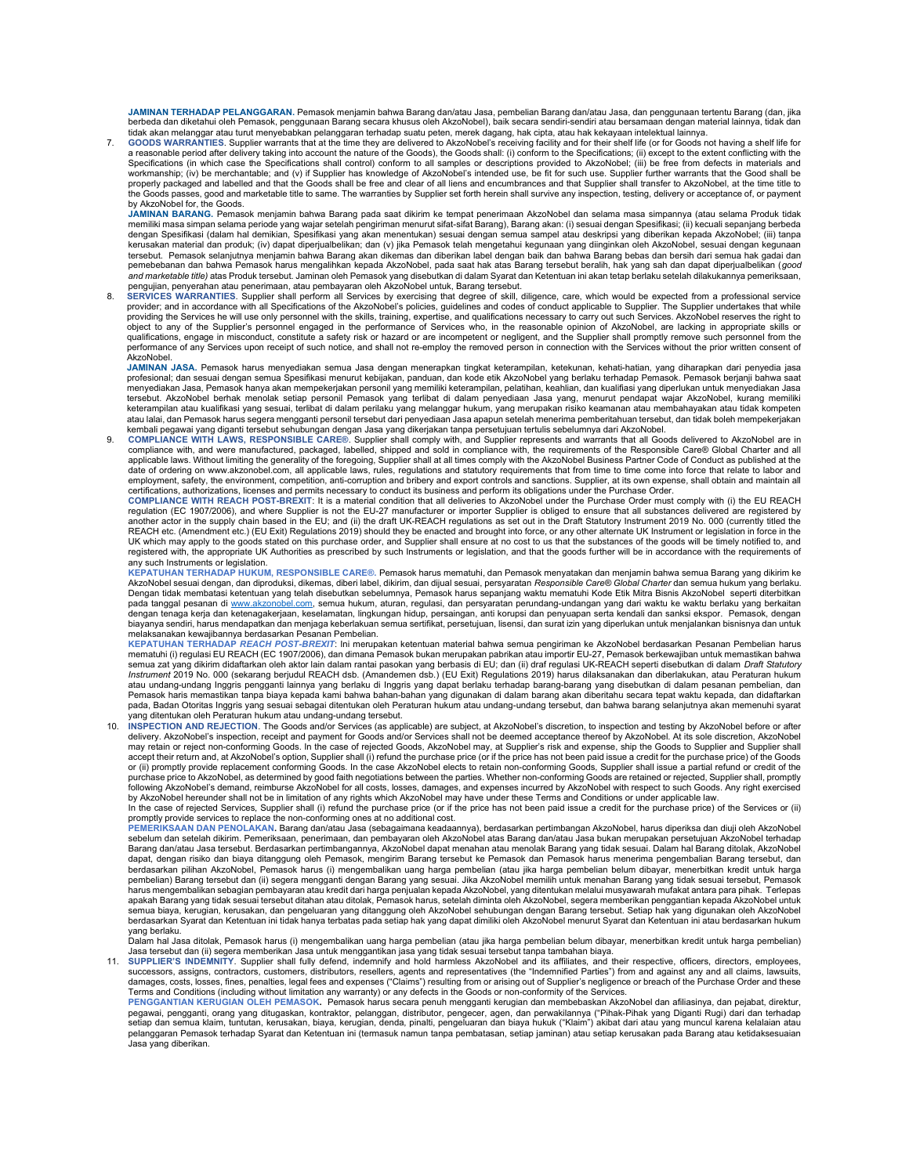**JAMINAN TERHADAP PELANGGARAN**. Pemasok menjamin bahwa Barang dan/atau Jasa, pembelian Barang dan/atau Jasa, dan penggunaan tertentu Barang (dan, jika<br>berbeda dan diketahui oleh Pemasok, penggunaan Barang secara khusus ole tidak akan melanggar atau turut menyebabkan pelanggaran terhadap suatu peten, merek dagang, hak cipta, atau hak kekayaan intelektual lainnya.

GOODS WARRANTIES. Supplier warrants that at the time they are delivered to AkzoNobel's receiving facility and for their shelf life (or for Goods not having a shelf life for<br>a reasonable period after delivery taking into ac Specifications (in which case the Specifications shall control) conform to all samples or descriptions provided to AkzoNobel; (iii) be free from defects in materials and workmanship; (iv) be merchantable; and (v) if Supplier has knowledge of AkzoNobel's intended use, be fit for such use. Supplier further warrants that the Good shall be properly packaged and labelled and that the Goods shall be free and clear of all liens and encumbrances and that Supplier shall transfer to AkzoNobel, at the time title to the Goods passes, good and marketable title to same. The warranties by Supplier set forth herein shall survive any inspection, testing, delivery or acceptance of, or payment by AkzoNobel for, the Goods.

**JAMINAN BARANG.** Pemasok menjamin bahwa Barang pada saat dikirim ke tempat penerimaan AkzoNobel dan selama masa simpannya (atau selama Produk tidak<br>memiliki masa simpan selama periode yang wajar selam pamuntum selamang ma kerusakan material dan produk; (iv) dapat diperjualbelikan; dan (v) jika Pemasok telah mengetahui kegunaan yang diinginkan oleh AkzoNobel, sesuai dengan kegunaan<br>tersebut. Pemasok selanjutnya menjamin bahwa Barang akan di pemebebanan dan bahwa Pemasok harus mengalihkan kepada AkzoNobel, pada saat hak atas Barang tersebut beralih, hak yang sah dan dapat diperjualbelikan (good

a*nd marketable title)* atas Produk tersebut. Jaminan oleh Pemasok yang disebutkan di dalam Syarat dan Ketentuan ini akan tetap berlaku setelah dilakukannya pemeriksaan,<br>pengujian, penyerahan atau penerimaan, atau pembayar providing the Services he will use only personnel with the skills, training, expertise, and qualifications necessary to carry out such Services. AkzoNobel reserves the right to object to any of the Supplier's personnel engaged in the performance of Services who, in the reasonable opinion of AkzoNobel, are lacking in appropriate skills or qualifications, engage in misconduct, constitute a safety r qualifications, engage in misconduct, constitute a safety risk or hazard or are incompetent or negligent, and the Supplier shall promptly remove such personnel from the<br>performance of any Services upon receipt of such noti

JAMINAN JASA. Pemasok harus menyediakan semua Jasa dengan menerapkan tingkat keterampilan, ketekunan, kehati-hatian, yang diharapkan dari penyedia jasa profesional; dan sesuai dengan semua Spesifikasi menurut kebijakan, panduan, dan kode etik AkzoNobel yang berlaku terhadap Pemasok. Pemasok berjanji bahwa saat<br>menyediakan Jasa, Pemasok hanya akan mempekerjakan personil ya tersebut. AkzoNobel berhak menolak setiap personil Pemasok yang terlibat di dalam penyediaan Jasa yang, menurut pendapat wajar AkzoNobel, kurang memiliki<br>keterampilan atau kualifikasi yang sesuai, terlibat di dalam perilak atau lalai, dan Pemasok harus segera mengganti personil tersebut dari penyediaan Jasa apapun setelah menerima pemberitahuan tersebut, dan tidak boleh mempekerjakan

kembali pegawai yang diganti tersebut sehubungan dengan Jasa yang dikerjakan tanpa persetujuan tertulis sebelumnya dari AkzoNobel.<br>9. COMPLIANCE WITH LAWS, RESPONSIBLE CARE®. Supplier shall comply with, and Supplier r applicable laws. Without limiting the generality of the foregoing, Supplier shall at all times comply with the AkzoNobel Business Partner Code of Conduct as published at the<br>date of ordering on www.akzonobel.com, all appli employment, safety, the environment, competition, anti-corruption and bribery and export controls and sanctions. Supplier, at its own expense, shall obtain and maintain all certifications, authorizations, licenses and permits necessary to conduct its business and perform its obligations under the Purchase Order.<br>COMPLIANCE WITH REACH POST-BREXIT: It is a material condition that all deliveries

regulation (EC 1907/2006), and where Supplier is not the EU-27 manufacturer or importer Supplier is obliged to ensure that all substances delivered are registered by another actor in the supply chain based in the EU; and (ii) the draft UK-REACH regulations as set out in the Draft Statutory Instrument 2019 No. 000 (currently titled the REACH etc. (Amendment etc.) (EU Exit) Regulations 2019) should they be enacted and brought into force, or any other alternate UK Instrument or legislation in force in the<br>UK which may apply to the goods stated on this purc registered with, the appropriate UK Authorities as prescribed by such Instruments or legislation, and that the goods further will be in accordance with the requirements of

any such Instruments or legislation.<br>KEPATUHAN TERHADAP HUKUM, RESPONSIBLE CARE®. Pemasok harus mematuhi, dan Pemasok menyatakan dan menjamin bahwa semua Barang yang dikirim ke AkzoNobel sesuai dengan, dan diproduksi, dikemas, diberi label, dikirim, dan dijual sesuai, persyaratan Responsible Care® Global Charter dan semua hukum yang berlaku. Dengan tidak membatasi ketentuan yang telah disebutkan sebelumnya, Pemasok harus sepanjang waktu mematuhi Kode Etik Mitra Bisnis AkzoNobel seperti diterbitkan pada tanggal pesanan di www.akzonobel.com, semua hukum, aturan, regulasi, dan persyaratan perundang-undangan yang dari waktu ke waktu berlaku yang berkaitan dengan tenaga kerja dan ketenagakerjaan, keselamatan, lingkungan hidup, persaingan, anti korupsi dan penyuapan serta kendali dan sanksi ekspor. Pemasok, dengan biayanya sendiri, harus mendapatkan dan menjaga keberlakuan semua sertifikat, persetujuan, lisensi, dan surat izin yang diperlukan untuk menjalankan bisnisnya dan untuk aksanakan kewajibannya berdasarkan Pesanan Pembelian.

KEPATUHAN TERHADAP *REACH POST-BREXIT*: Ini merupakan ketentuan material bahwa semua pengiriman ke AkzoNobel berdasarkan Pesanan Pembelian harus<br>mematuhi (i) regulasi EU REACH (EC 1907/2006), dan dimana Pemasok bukan merup semua zat yang dikirim didaftarkan oleh aktor lain dalam rantai pasokan yang berbasis di EU; dan (ii) draf regulasi UK-REACH seperti disebutkan di dalam *Draft Statutory*<br>*Instrument* 2019 No. 000 (sekarang berjudul REACH atau undang-undang Inggris pengganti lainnya yang berlaku di Inggris yang dapat berlaku terhadap barang-barang yang disebutkan di dalam pesanan pembelian, dan Pemasok haris memastikan tanpa biaya kepada kami bahwa bahan-bahan yang digunakan di dalam barang akan diberitahu secara tepat waktu kepada, dan didaftarkan<br>pada, Badan Otoritas Inggris yang sesuai sebagai ditentukan oleh yang ditentukan oleh Peraturan hukum atau undang-undang tersebut.

10. INSPECTION AND REJECTION. The Goods and/or Services (as applicable) are subject, at AkzoNobel's discretion, to inspection and testing by AkzoNobel before or after<br>delivery. AkzoNobel's inspection, receipt and payment f may retain or reject non-conforming Goods. In the case of rejected Goods, AkzoNobel may, at Supplier's risk and expense, ship the Goods to Supplier and Supplier shall<br>accept their return and, at AkzoNobel's option, Supplie or (ii) promptly provide replacement conforming Goods. In the case AkzoNobel elects to retain non-conforming Goods, Supplier shall issue a partial refund or credit of the<br>purchase price to AkzoNobel, as determined by good by AkzoNobel hereunder shall not be in limitation of any rights which AkzoNobel may have under these Terms and Conditions or under applicable law.<br>In the case of rejected Services, Supplier shall (i) refund the purchase pr

promptly provide services to replace the non-conforming ones at no additional cost.

PEMERIKSAAN DAN PENOLAKAN. Barang dan/atau Jasa (sebagaimana keadaannya), berdasarkan pertimbangan AkzoNobel, harus diperiksa dan diuji oleh AkzoNobel<br>sebelum dan setelah dikirim. Pemeriksaan, penerimaan, dan pembayaran be dapat, dengan risiko dan biaya ditanggung oleh Pemasok, mengirim Barang tersebut ke Pemasok dan Pemasok harus menerima pengembalian Barang tersebut, dan berdasarkan pilihan AkzoNobel, Pemasok harus (i) mengembalikan uang harga pembelian (atau jika harga pembelian belum dibayar, menerbitkan kredit untuk harga pembelian) Barang tersebut dan (ii) segera mengganti dengan Barang yang sesuai. Jika AkzoNobel memilih untuk menahan Barang yang tidak sesuai tersebut, Pemasok<br>harus mengembalikan sebagian pembayaran atau karakan kemakan p semua biaya, kerugian, kerusakan, dan pengeluaran yang ditanggung oleh AkzoNobel sehubungan dengan Barang tersebut. Setiap hak yang digunakan oleh AkzoNobel<br>berdasarkan Syarat dan Ketentuan ini tidak hanya terbatas pada se

yang berlaku.<br>Dalam hal Jasa ditolak, Pemasok harus (i) mengembalikan uang harga pembelian (atau jika harga pembelian belum dibayar, menerbitkan kredit untuk harga pembelian)<br>Jasa tersebut dan (ii) segera memberikan Jasa u

successors, assigns, contractors, customers, distributors, resellers, agents and representatives (the "Indemnified Parties") from and against any and all claims, lawsuits, damages, costs, losses, fines, penalties, legal fees and expenses ("Claims") resulting from or arising out of Supplier's negligence or breach of the Purchase Order and these Terms and Conditions (including without limitation any warranty) or any defects in the Goods or non-conformity of the Services.<br>PENGGANTIAN KERUGIAN OLEH PEMASOK. Pemasok harus secara penuh mengganti kerugian dan membebas

pegawai, pengganti, orang yang ditugaskan, kontraktor, pelanggan, distributor, pengecer, agen, dan perwakilannya ("Pihak-Pihak yang Diganti Rugi) dari dan terhadap<br>setiap dan semua klaim, tuntutan, kerusakan, biaya, kerugi pelanggaran Pemasok terhadap Syarat dan Ketentuan ini (termasuk namun tanpa pembatasan, setiap jaminan) atau setiap kerusakan pada Barang atau ketidakse Jasa yang diberikan.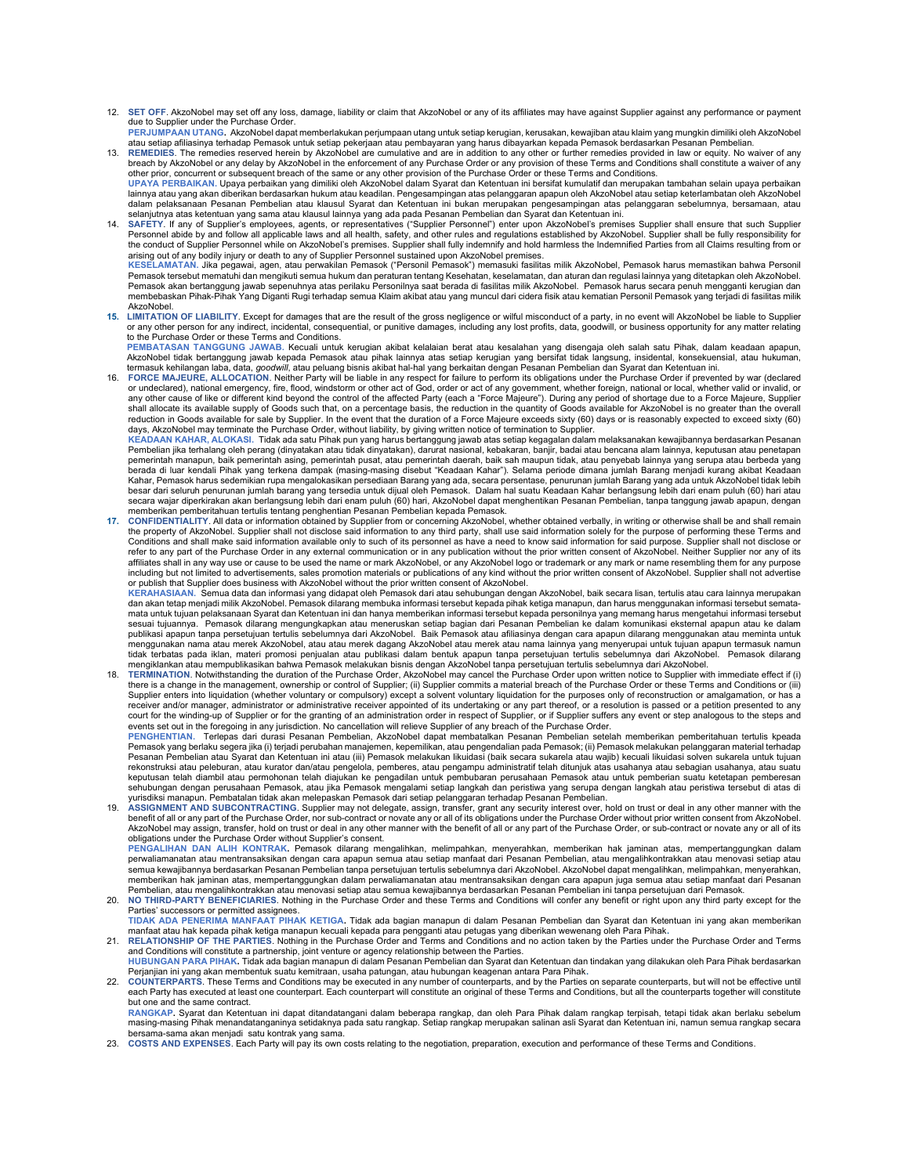- 12. SET OFF. AkzoNobel may set off any loss, damage, liability or claim that AkzoNobel or any of its affiliates may have against Supplier against any performance or payment due to Supplier under the Purchase Order.
- PERJUMPAAN UTANG. AkzoNobel dapat memberlakukan perjumpaan utang untuk setiap kerugian, kerusakan, kewajiban atau klaim yang mungkin dimiliki oleh AkzoNobel atau setiap afiliasinya terhadap Pemasok untuk setiap pekerjaan atau pembayaran yang harus dibayarkan kepada Pemasok berdasarkan Pesanan Pembelian.<br>13. REMEDIES. The remedies reserved herein by AkzoNobel are cumulative and
- breach by AkzoNobel or any delay by AkzoNobel in the enforcement of any Purchase Order or any provision of these Terms and Conditions shall constitute a waiver of any other prior, concurrent or subsequent breach of the same or any other provision of the Purchase Order or these Terms and Conditions. UPAYA PERBAIKAN. Upaya perbaikan yang dimiliki oleh AkzoNobel dalam Syarat dan Ketentuan ini bersifat kumulatif dan merupakan tambahan selain upaya perbaikan
- lainnya atau yang akan diberikan berdasarkan hukum atau keadilan. Pengesampingan atas pelanggaran apapun oleh AkzoNobel atau setiap keterlambatan oleh AkzoNobel dalam pelaksanaan Pesanan Pembelian atau klausul Syarat dan Ketentuan ini bukan merupakan pengesampingan atas pelanggaran sebelumnya, bersamaan, atau
- selanjutnya atas ketentuan yang sama atau klausul lainnya yang ada pada Pesanan Pembelian dan Syarat dan Ketentuan ini.<br>14. SAFETY. If any of Supplier's employees, agents, or representatives ("Supplier Personnel") enter up KESELAMATAN. Jika pegawai, agen, atau perwakilan Pemasok ("Personil Pemasok") memasuki fasilitas milik AkzoNobel, Pemasok harus memastikan bahwa Personil Pemasok tersebut mematuhi dan mengikuti semua hukum dan peraturan tentang Kesehatan, keselamatan, dan aturan dan regulasi lainnya yang ditetapkan oleh AkzoNobel.<br>Pemasok akan bertanggung jawab sepenuhnya atas perilaku Pers membebaskan Pihak-Pihak Yang Diganti Rugi terhadap semua Klaim akibat atau yang muncul dari cidera fisik atau kematian Personil Pemasok yang terjadi di fasilitas milik
- **AkzoNobel** 15. LIMITATION OF LIABILITY. Except for damages that are the result of the gross negligence or wilful misconduct of a party, in no event will AkzoNobel be liable to Supplier<br>or any other person for any indirect, incidental to the Purchase Order or these Terms and Conditions.

PEMBATASAN TANGGUNG JAWAB. Kecuali untuk kerugian akibat kelalaian berat atau kesalahan yang disengaja oleh salah satu Pihak, dalam keadaan apapun,<br>AkzoNobel tidak bertanggung jawab kepada Pemasok atau pihak lainnya atas s termasuk kehilangan laba, data, goodwill, atau peluang bisnis akibat hal-hal yang berkaitan dengan Pesanan Pembelian dan Syarat dan Ketentuan ini.

16. FORCE MAJEURE, ALLOCATION. Neither Party will be liable in any respect for failure to perform its obligations under the Purchase Order if prevented by war (declared<br>or undeclared), national emergency, fire, flood, wind any other cause of like or different kind beyond the control of the affected Party (each a "Force Majeure"). During any period of shortage due to a Force Majeure, Supplier<br>shall allocate its available supply of Goods such reduction in Goods available for sale by Supplier. In the event that the duration of a Force Majeure exceeds sixty (60) days or is reasonably expected to exceed sixty (60) days, AkzoNobel may terminate the Purchase Order, without liability, by giving written notice of termination to Supplier.

KEADAAN KAHAR, ALOKASI. Tidak ada satu Pihak pun yang harus bertanggung jawab atas setiap kegagalan dalam melaksanakan kewajibannya berdasarkan Pesanan Pembelian jika terhalang oleh perang (dinyatakan atau tidak dinyatakan), darurat nasional, kebakaran, banjir, badai atau bencana alam lainnya, keputusan atau penetapan pemerintah manapun, baik pemerintah asing, pemerintah pusat, atau pemerintah daerah, baik sah maupun tidak, atau penyebab lainnya yang serupa atau berbeda yang<br>berada di luar kendali Pihak yang terkena dampak (masing-masin Kahar, Pemasok harus sedemikian rupa mengalokasikan persediaan Barang yang ada, secara persentase, penurunan jumlah Barang yang ada untuk AkzoNobel tidak lebih<br>besar dari seluruh penurunan jumlah barang yang tersedia untuk secara wajar diperkirakan akan berlangsung lebih dari enam puluh (60) hari, AkzoNobel dapat menghentikan Pesanan Pembelian, tanpa tanggung jawab apapun, dengan memberikan pemberitahuan tertulis tentang penghentian Pesanan Pembelian kepada Pemasok.

17. CONFIDENTIALITY. All data or information obtained by Supplier from or concerning AkzoNobel, whether obtained verbally, in writing or otherwise shall be and shall remain he property of AkzoNobel. Supplier shall not disclose said information to any third party, shall use said information solely for the purpose of performing these Terms and Conditions and shall make said information available only to such of its personnel as have a need to know said information for said purpose. Supplier shall not disclose or refer to any part of the Purchase Order in any external communication or in any publication without the prior written consent of AkzoNobel. Neither Supplier nor any of its affiliates shall in any way use or cause to be used the name or mark AkzoNobel, or any AkzoNobel logo or trademark or any mark or name resembling them for any purpose<br>including but not limited to advertisements, sales prom or publish that Supplier does business with AkzoNobel without the prior written consent of AkzoNobel.

<mark>KERAHASIAAN</mark>. Semua data dan informasi yang didapat oleh Pemasok dari atau sehubungan dengan AkzoNobel, baik secara lisan, tertulis atau cara lainnya merupakan<br>dan akan tetap menjadi milik AkzoNobel. Pemasok dilarang mem mata untuk tujuan pelaksanaan Syarat dan Ketentuan ini dan hanya memberikan informasi tersebut kepada personilnya yang memang harus mengetahui informasi tersebut sesuai tujuannya. Pemasok dilarang mengungkapkan atau meneruskan setiap bagian dari Pesanan Pembelian ke dalam komunikasi eksternal apapun atau ke dalam publikasi apapun tanpa persetujuan tertulis sebelumnya dari AkzoNobel. Baik Pemasok atau afiliasinya dengan cara apapun dilarang menggunakan atau meminta untuk menggunakan nama atau merek AkzoNobel, atau atau merek dagang AkzoNobel atau merek atau nama lainnya yang menyerupai untuk tujuan apapun termasuk namun<br>tidak terbatas pada iklan, materi promosi penjualan atau publikasi dal mengiklankan atau mempublikasikan bahwa Pemasok melakukan bisnis dengan AkzoNobel tanpa persetujuan tertulis sebelumnya dari AkzoNobel.<br>(i), TERMINATION. Notwithstanding the duration of the Purchase Order, AkzoNobel may ca

there is a change in the management, ownership or control of Supplier; (ii) Supplier commits a material breach of the Purchase Order or these Terms and Conditions or (iii) Supplier enters into liquidation (whether voluntary or compulsory) except a solvent voluntary liquidation for the purposes only of reconstruction or amalgamation, or has a<br>receiver and/or manager, administrator or administ events set out in the foregoing in any jurisdiction. No cancellation will relieve Supplier of any breach of the Purchase Order.<br>PENGHENTIAN. Terlepas dari durasi Pesanan Pembelian, AkzoNobel dapat membatalkan Pesanan Pembe

PENGHENTIAN. Terlepas dari durasi Pesanan Pembelian, AkzoNobel dapat membatalkan Pesanan Pembelian setelah memberikan pemberitahuan tertulis kpeada Pemasok yang berlaku segera jika (i) terjadi perubahan manajemen, kepemilikan, atau pengendalian pada Pemasok; (ii) Pemasok melakukan pelanggaran material terhadap<br>Pesanan Pembelian atau Syarat dan Ketentuan ini atau (iii) rekonstruksi atau peleburan, atau kurator dan/atau pengelola, pemberes, atau pengampu administratif telah ditunjuk atas usahanya atau sebagian usahanya, atau suatu<br>keputusan telah diambil atau permohonan telah diajukan ke sehubungan dengan perusahaan Pemasok, atau jika Pemasok mengalami setiap langkah dan peristiwa yang serupa dengan langkah atau peristiwa tersebut di atas di

yurisdiksi manapun. Pembatalan tidak akan melepaskan Pemasok dari setiap pelanggaran terhadap Pesanan Pembelian.<br>19. ASSIGNMENT AND SUBCONTRACTING. Supplier may not delegate, assign, transfer, grant any security interest o benefit of all or any part of the Purchase Order, nor sub-contract or novate any or all of its obligations under the Purchase Order without prior written consent from AkzoNobel. AkzoNobel may assign, transfer, hold on trust or deal in any other manner with the benefit of all or any part of the Purchase Order, or sub-contract or novate any or all of its obligations under the Purchase Order without Supplier's consent.

PENGALIHAN DAN ALIH KONTRAK. Pemasok dilarang mengalihkan, melimpahkan, menyerahkan, memberikan hak jaminan atas, mempertanggungkan dalam<br>perwaliamanatan atau mentransaksikan dengan cara apapun semua atau setiap manfaat da .<br>semua kewajibannya berdasarkan Pesanan Pembelian tanpa persetujuan tertulis sebelumnya dari AkzoNobel. AkzoNobel dapat mengalihkan, melimpahkan, menyerahkan, memberikan hak jaminan atas, mempertanggungkan dalam perwaliamanatan atau mentransaksikan dengan cara apapun juga semua atau setiap manfaat dari Pesanan Pembelian, atau mengalihkontrakkan atau menovasi setiap atau semua kewajibannya berdasarkan Pesanan Pembelian ini tanpa persetujuan dari Pemasok.

- 20. NO THIRD-PARTY BENEFICIARIES. Nothing in the Purchase Order and these Terms and Conditions will confer any benefit or right upon any third party except for the Parties' successors or permitted assignees.<br>TIDAK ADA PENERIMA MANFAAT PIHAK KETIGA. Tidak ada bagian manapun di dalam Pesanan Pembelian dan Syarat dan Ketentuan ini yang akan memberikan
- manfaat atau hak kepada pihak ketiga manapun kecuali kepada para pengganti atau petugas yang diberikan wewenang oleh Para Pihak.<br>21. RELATIONSHIP OF THE PARTIES. Nothing in the Purchase Order and Terms and conditions an
- HUBUNGAN PARA PIHAK. Tidak ada bagian manapun di dalam Pesanan Pembelian dan Syarat dan Ketentuan dan tindakan yang dilakukan oleh Para Pihak berdasarkan<br>Perjanjian ini yang akan membentuk suatu kemitraan, usaha patungan,
- 22. COUNTERPARTS. These Terms and Conditions may be executed in any number of counterparts, and by the Parties on separate counterparts, but will not be effective until each Party has executed at least one counterpart. Each counterpart will constitute an original of these Terms and Conditions, but all the counterparts together will constitute but one and the same contract.

RANGKAP. Syarat dan Ketentuan ini dapat ditandatangani dalam beberapa rangkap, dan oleh Para Pihak dalam rangkap terpisah, tetapi tidak akan berlaku sebelum<br>masing-masing Pihak menandatanganinya setidaknya pada satu rangka bersama-sama akan menjadi satu kontrak yang sama.

23. COSTS AND EXPENSES. Each Party will pay its own costs relating to the negotiation, preparation, execution and performance of these Terms and Conditions.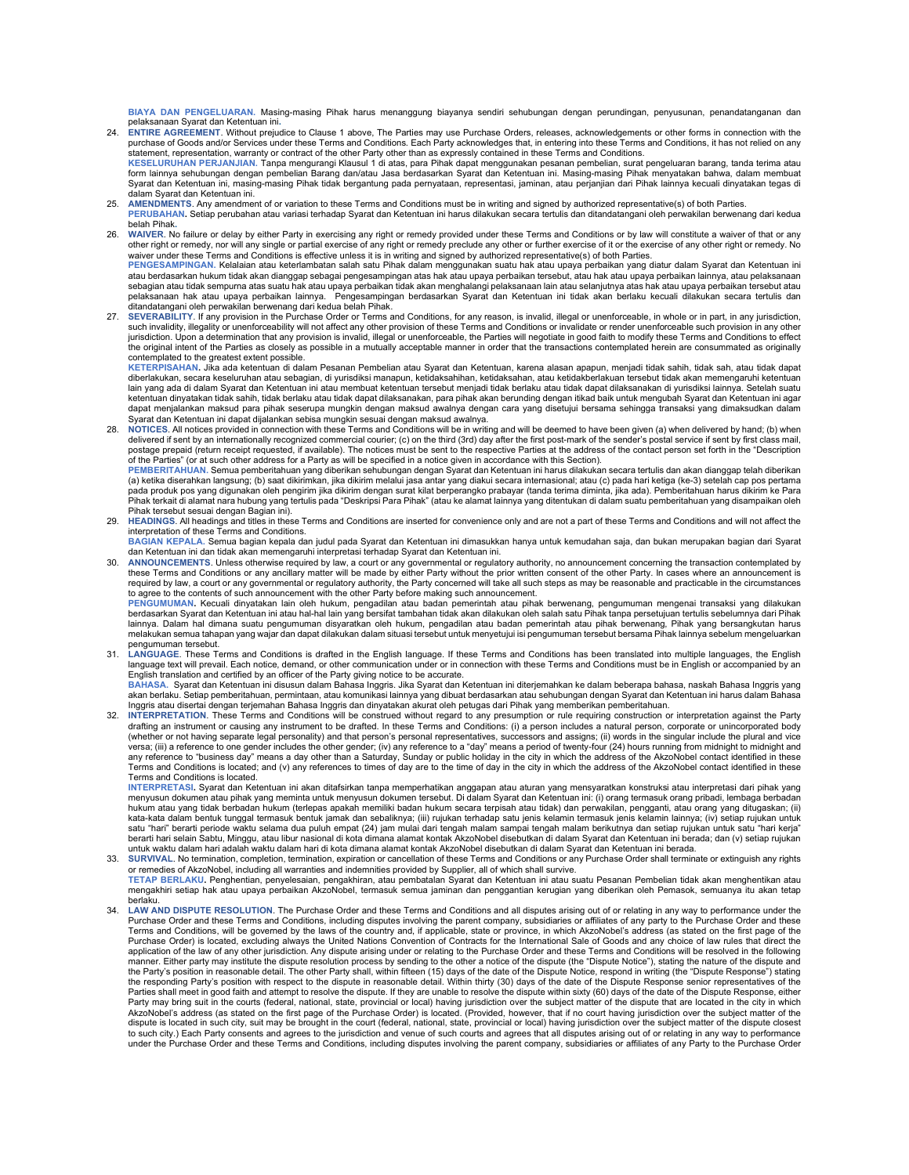BIAYA DAN PENGELUARAN. Masing-masing Pihak harus menanggung biayanya sendiri sehubungan dengan perundingan, penyusunan, penandatanganan dan

- pelaksanaan Syarat dan Ketentuan ini. 24. ENTIRE AGREEMENT. Without prejudice to Clause 1 above, The Parties may use Purchase Orders, releases, acknowledgements or other forms in connection with the purchase of Goods and/or Services under these Terms and Conditions. Each Party acknowledges that, in entering into these Terms and Conditions, it has not relied on any<br>statement, representation, warranty or contract of the
- KESELURUHAN PERJANJIAN. Tanpa mengurangi Klausul 1 di atas, para Pihak dapat menggunakan pesanan pembelian, surat pengeluaran barang, tanda terima atau form lainnya sehubungan dengan pembelian Barang dan/atau Jasa berdasarkan Syarat dan Ketentuan ini. Masing-masing Pihak menyatakan bahwa, dalam membuat<br>Syarat dan Ketentuan ini, masing-masing Pihak tidak bergantung pada pe dalam Syarat dan Ketentuan ini.
- 25. AMENDMENTS. Any amendment of or variation to these Terms and Conditions must be in writing and signed by authorized representative(s) of both Parties. PERUBAHAN. Setiap perubahan atau variasi terhadap Syarat dan Ketentuan ini harus dilakukan secara tertulis dan ditandatangani oleh perwakilan berwenang dari kedua
- belah Pihak. 26. WAIVER. No failure or delay by either Party in exercising any right or remedy provided under these Terms and Conditions or by law will constitute a waiver of that or any other right or remedy, nor will any single or partial exercise of any right or remedy preclude any other or further exercise of it or the exercise of any other right or remedy. No<br>waiver under these Terms and Conditions is

atau berdasarkan hukum tidak akan dianggap sebagai pengesampingan atas hak atau upaya perbaikan tersebut, atau hak atau upaya perbaikan lainnya, atau pelaksanaan<br>sebagian atau tidak sempurna atas suatu hak atau upaya perba pelaksanaan hak atau upaya perbaikan lainnya. Pengesampingan berdasarkan Syarat dan Ketentuan ini tidak akan berlaku kecuali dilakukan secara tertulis dan<br>ditandatangani oleh perwakilan berwenang dari kedua belah Pihak.

27. SEVERABILITY. If any provision in the Purchase Order or Terms and Conditions, for any reason, is invalid, illegal or unenforceable, in whole or in part, in any jurisdiction, such invalidity, illegality or unenforceability will not affect any other provision of these Terms and Conditions or invalidate or render unenforceable such provision in any other<br>jurisdiction. Upon a determination that an the original intent of the Parties as closely as possible in a mutually acceptable manner in order that the transactions contemplated herein are consummated as originally

contemplated to the greatest extent possible.<br>KETERPISAHAN. Jika ada ketentuan di dalam Pesanan Pembelian atau Syarat dan Ketentuan, karena alasan apapun, menjadi tidak sahih, tidak sah, atau tidak dapat diberlakukan, secara keseluruhan atau sebagian, di yurisdiksi manapun, ketidaksahihan, ketidaksahan, atau ketidakberlakuan tersebut tidak akan memengaruhi ketentuan lain yang ada di dalam Syarat dan Ketentuan ini atau membuat ketentuan tersebut menjadi tidak berlaku atau tidak dapat dilaksanakan di yurisdiksi lainnya. Setelah suatu ketentuan dinyatakan tidak sahih, tidak berlaku atau tidak dapat dilaksanakan, para pihak akan berunding dengan itikad baik untuk mengubah Syarat dan Ketentuan ini agar dapat menjalankan maksud para pihak seserupa mungkin dengan maksud awalnya dengan cara yang disetujui bersama sehingga transaksi yang dimaksudkan dalam Syarat dan Ketentuan ini dapat dijalankan sebisa mungkin sesuai dengan maksud awalnya.

28. NOTICES. All notices provided in connection with these Terms and Conditions will be in writing and will be deemed to have been given (a) when delivered by hand; (b) when<br>delivered if sent by an internationally recogni postage prepaid (return receipt requested, if available). The notices must be sent to the respective Parties at the address of the contact person set forth in the "Description of the Parties" (or at such other address for a Party as will be specified in a notice given in accordance with this Section). PEMBERITAHUAN. Semua pemberitahuan yang diberikan sehubungan dengan Syarat dan Ketentuan ini harus dilakukan secara tertulis dan akan dianggap telah diberikan

(a) ketika diserahkan langsung; (b) saat dikirimkan, jika dikirim melalui jasa antar yang diakui secara internasional; atau (c) pada hari ketiga (ke-3) setelah cap pos pertama<br>pada produk pos yang digunakan oleh pengirim j Pihak tersebut sesuai dengan Bagian ini). 29. HEADINGS. All headings and titles in these Terms and Conditions are inserted for convenience only and are not a part of these Terms and Conditions and will not affect the

interpretation of these Terms and Conditions.<br>BAGIAN KEPALA. Semua bagian kepala dan judul pada Syarat dan Ketentuan ini dimasukkan hanya untuk kemudahan saja, dan bukan merupakan bagian dari Syarat

dan Ketentuan ini dan tidak akan memengaruhi interpretasi terhadap Syarat dan Ketentuan ini.

30. ANNOUNCEMENTS. Unless otherwise required by law, a court or any governmental or regulatory authority, no announcement concerning the transaction contemplated by any ancillary matter will be made by either Party without required by law, a court or any governmental or regulatory authority, the Party concerned will take all such steps as may be reasonable and practicable in the circumstances to agree to the contents of such announcement with the other Party before making such announcement.

PENGUMUMAN. Kecuali dinyatakan lain oleh hukum, pengadilan atau badan pemerintah atau pihak berwenang, pengumuman mengenai transaksi yang dilakukan<br>berdasarkan Syarat dan Ketentuan ini atau hal-hal lain yang bersifat tamba lainnya. Dalam hal dimana suatu pengumuman disyaratkan oleh hukum, pengadilan atau badan pemerintah atau pihak berwenang, Pihak yang bersangkutan harus<br>melakukan semua tahapan yang wajar dan dapat dilakukan dalam situasi t pengumuman tersebut.

31. LANGUAGE. These Terms and Conditions is drafted in the English language. If these Terms and Conditions has been translated into multiple languages, the English language text will prevail. Each notice, demand, or other communication under or in connection with these Terms and Conditions must be in English or accompanied by an English translation and certified by an officer of the Party giving notice to be accurate.

BAHASA. Syarat dan Ketentuan ini disusun dalam Bahasa Inggris. Jika Syarat dan Ketentuan ini diterjemahkan ke dalam beberapa bahasa, naskah Bahasa Inggris yang akan berlaku. Setiap pemberitahuan, permintaan, atau komunikasi lainnya yang dibuat berdasarkan atau sehubungan dengan Syarat dan Ketentuan ini harus dalam Bahasa<br>Inggris atau disertai dengan terjemahan Bahasa Inggris dan

32. INTERPRETATION. These Terms and Conditions will be construed without regard to any presumption or rule requiring construction or interpretation against the Party drafting an instrument or causing any instrument to be drafted. In these Terms and Conditions: (i) a person includes a natural person, corporate or unincorporated body (whether or not having separate legal personality) and that person's personal representatives, successors and assigns; (ii) words in the singular include the plural and vice versa; (iii) a reference to one gender includes the other gender; (iv) any reference to a "day" means a period of twenty-four (24) hours running from midnight to midnight and<br>any reference to "business day" means a day oth .<br>This and Conditions is located; and (v) any references to times of day are to the time of day in the city in which the address of the AkzoNobel contact identified in these Terms and Conditions is located.

INTERPRETASI. Syarat dan Ketentuan ini akan ditafsirkan tanpa memperhatikan anggapan atau aturan yang mensyaratkan konstruksi atau interpretasi dari pihak yang<br>menyusun dokumen atau pihak yang meminta untuk menyusun dokume satu "hari" berarti periode waktu selama dua puluh empat (24) jam mulai dari tengah malam angah malam berikutnya dan setiap rujukan untuk satu "hari kerja"<br>berarti hari selain Sabtu, Minggu, atau libur nasional di kota di

- untuk waktu dalam hari adalah waktu dalam hari adalam waktu dalam hari di kota dimana alamat kontak AkzoNobel disebutkan di dalam Syarat dan Ketentuan ini berada.<br>33. SURVIVAL. No termination, completion, termination, expi or remedies of AkzoNobel, including all warranties and indemnities provided by Supplier, all of which shall survive. TETAP BERLAKU. Penghentian, penyelesaian, pengakhiran, atau pembatalan Syarat dan Ketentuan ini atau suatu Pesanan Pembelian tidak akan menghentikan atau mengakhiri setiap hak atau upaya perbaikan AkzoNobel, termasuk semua jaminan dan penggantian kerugian yang diberikan oleh Pemasok, semuanya itu akan tetap
- berlaku.<br>34. LAW AND DISPUTE RESOLUTION. The Purchase Order and these Terms and Conditions and all disputes arising out of or relating in any way to performance under the<br>Purchase Order and these Terms and Conditions, in Terms and Conditions, will be governed by the laws of the country and, if applicable, state or province, in which AkzoNobel's address (as stated on the first page of the<br>Purchase Order) is located, excluding always the Uni manner. Either party may institute the dispute resolution process by sending to the other a notice of the dispute (the "Dispute Notice"), stating the nature of the dispute and<br>the Party's position in reasonable detail. The the responding Party's position with respect to the dispute in reasonable detail. Within thirty (30) days of the date of the Dispute Response senior representatives of the Parties shall meet in good faith and attempt to resolve the dispute. If they are unable to resolve the dispute within sixty (60) days of the date of the Dispute Response, either Party may bring suit in the courts (federal, national, state, provincial or local) having jurisdiction over the subject matter of the dispute that are located in the city in which<br>AkzoNobel's address (as stated on the firs to such city.) Each Party consents and agrees to the jurisdiction and venue of such courts and agrees that all disputes arising out of or relating in any way to performance under the Purchase Order and these Terms and Conditions, including disputes involving the parent company, subsidiaries or affiliates of any Party to the Purchase Order